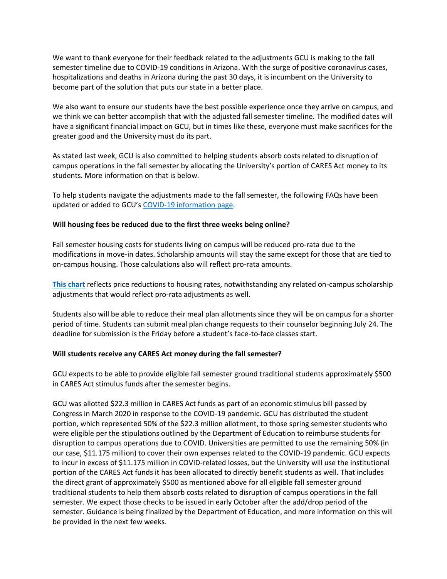We want to thank everyone for their feedback related to the adjustments GCU is making to the fall semester timeline due to COVID-19 conditions in Arizona. With the surge of positive coronavirus cases, hospitalizations and deaths in Arizona during the past 30 days, it is incumbent on the University to become part of the solution that puts our state in a better place.

We also want to ensure our students have the best possible experience once they arrive on campus, and we think we can better accomplish that with the adjusted fall semester timeline. The modified dates will have a significant financial impact on GCU, but in times like these, everyone must make sacrifices for the greater good and the University must do its part.

As stated last week, GCU is also committed to helping students absorb costs related to disruption of campus operations in the fall semester by allocating the University's portion of CARES Act money to its students. More information on that is below.

To help students navigate the adjustments made to the fall semester, the following FAQs have been updated or added to GCU's [COVID-19 information page.](https://www.gcu.edu/coronavirus-disease-2019-information)

#### **Will housing fees be reduced due to the first three weeks being online?**

Fall semester housing costs for students living on campus will be reduced pro-rata due to the modifications in move-in dates. Scholarship amounts will stay the same except for those that are tied to on-campus housing. Those calculations also will reflect pro-rata amounts.

**[This chart](https://www.gcu.edu/sites/default/files/media/documents/room-rate-discount-late-fall-movein.pdf)** reflects price reductions to housing rates, notwithstanding any related on-campus scholarship adjustments that would reflect pro-rata adjustments as well.

Students also will be able to reduce their meal plan allotments since they will be on campus for a shorter period of time. Students can submit meal plan change requests to their counselor beginning July 24. The deadline for submission is the Friday before a student's face-to-face classes start.

#### **Will students receive any CARES Act money during the fall semester?**

GCU expects to be able to provide eligible fall semester ground traditional students approximately \$500 in CARES Act stimulus funds after the semester begins.

GCU was allotted \$22.3 million in CARES Act funds as part of an economic stimulus bill passed by Congress in March 2020 in response to the COVID-19 pandemic. GCU has distributed the student portion, which represented 50% of the \$22.3 million allotment, to those spring semester students who were eligible per the stipulations outlined by the Department of Education to reimburse students for disruption to campus operations due to COVID. Universities are permitted to use the remaining 50% (in our case, \$11.175 million) to cover their own expenses related to the COVID-19 pandemic. GCU expects to incur in excess of \$11.175 million in COVID-related losses, but the University will use the institutional portion of the CARES Act funds it has been allocated to directly benefit students as well. That includes the direct grant of approximately \$500 as mentioned above for all eligible fall semester ground traditional students to help them absorb costs related to disruption of campus operations in the fall semester. We expect those checks to be issued in early October after the add/drop period of the semester. Guidance is being finalized by the Department of Education, and more information on this will be provided in the next few weeks.